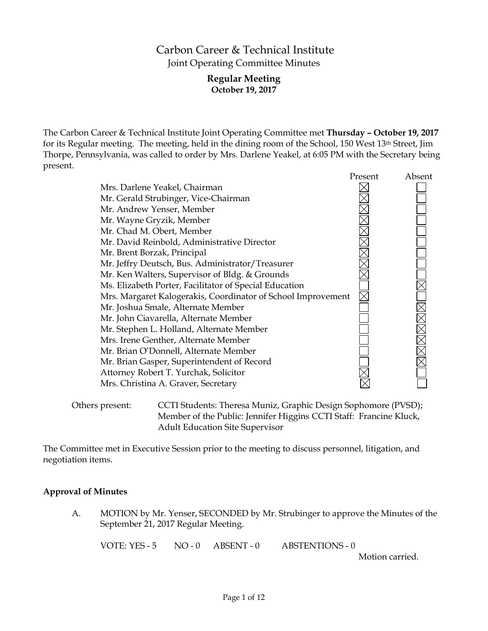# Carbon Career & Technical Institute Joint Operating Committee Minutes

# **Regular Meeting October 19, 2017**

The Carbon Career & Technical Institute Joint Operating Committee met **Thursday – October 19, 2017** for its Regular meeting. The meeting, held in the dining room of the School, 150 West 13th Street, Jim Thorpe, Pennsylvania, was called to order by Mrs. Darlene Yeakel, at 6:05 PM with the Secretary being present.

|                                                              | Present | Absent |
|--------------------------------------------------------------|---------|--------|
| Mrs. Darlene Yeakel, Chairman                                |         |        |
| Mr. Gerald Strubinger, Vice-Chairman                         |         |        |
| Mr. Andrew Yenser, Member                                    |         |        |
| Mr. Wayne Gryzik, Member                                     |         |        |
| Mr. Chad M. Obert, Member                                    |         |        |
| Mr. David Reinbold, Administrative Director                  |         |        |
| Mr. Brent Borzak, Principal                                  |         |        |
| Mr. Jeffry Deutsch, Bus. Administrator/Treasurer             |         |        |
| Mr. Ken Walters, Supervisor of Bldg. & Grounds               |         |        |
| Ms. Elizabeth Porter, Facilitator of Special Education       |         |        |
| Mrs. Margaret Kalogerakis, Coordinator of School Improvement |         |        |
| Mr. Joshua Smale, Alternate Member                           |         |        |
| Mr. John Ciavarella, Alternate Member                        |         |        |
| Mr. Stephen L. Holland, Alternate Member                     |         |        |
| Mrs. Irene Genther, Alternate Member                         |         |        |
| Mr. Brian O'Donnell, Alternate Member                        |         |        |
| Mr. Brian Gasper, Superintendent of Record                   |         |        |
| Attorney Robert T. Yurchak, Solicitor                        |         |        |
| Mrs. Christina A. Graver, Secretary                          |         |        |
|                                                              |         |        |
|                                                              |         |        |

Others present: CCTI Students: Theresa Muniz, Graphic Design Sophomore (PVSD); Member of the Public: Jennifer Higgins CCTI Staff: Francine Kluck, Adult Education Site Supervisor

The Committee met in Executive Session prior to the meeting to discuss personnel, litigation, and negotiation items.

# **Approval of Minutes**

A. MOTION by Mr. Yenser, SECONDED by Mr. Strubinger to approve the Minutes of the September 21, 2017 Regular Meeting.

VOTE: YES - 5 NO - 0 ABSENT - 0 ABSTENTIONS - 0

Motion carried.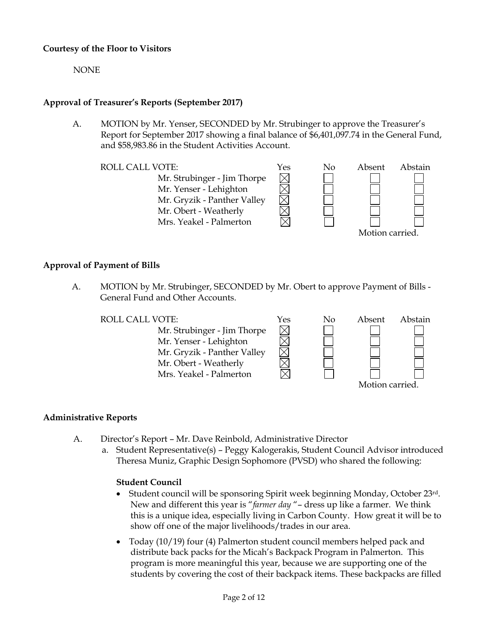# **Courtesy of the Floor to Visitors**

NONE

# **Approval of Treasurer's Reports (September 2017)**

A. MOTION by Mr. Yenser, SECONDED by Mr. Strubinger to approve the Treasurer's Report for September 2017 showing a final balance of \$6,401,097.74 in the General Fund, and \$58,983.86 in the Student Activities Account.

Mr. Strubinger - Jim Thorpe Mr. Yenser - Lehighton Mr. Gryzik - Panther Valley Mr. Obert - Weatherly Mrs. Yeakel - Palmerton



### Motion carried.

# **Approval of Payment of Bills**

A. MOTION by Mr. Strubinger, SECONDED by Mr. Obert to approve Payment of Bills - General Fund and Other Accounts.

ROLL CALL VOTE:  $Y$ es No Absent Abstain Mr. Strubinger - Jim Thorpe Mr. Yenser - Lehighton Mr. Gryzik - Panther Valley Mr. Obert - Weatherly Mrs. Yeakel - Palmerton



# **Administrative Reports**

- A. Director's Report Mr. Dave Reinbold, Administrative Director
	- a. Student Representative(s) Peggy Kalogerakis, Student Council Advisor introduced Theresa Muniz, Graphic Design Sophomore (PVSD) who shared the following:

# **Student Council**

- $\bullet$  Student council will be sponsoring Spirit week beginning Monday, October 23rd. New and different this year is "*farmer day* "– dress up like a farmer. We think this is a unique idea, especially living in Carbon County. How great it will be to show off one of the major livelihoods/trades in our area.
- Today (10/19) four (4) Palmerton student council members helped pack and distribute back packs for the Micah's Backpack Program in Palmerton. This program is more meaningful this year, because we are supporting one of the students by covering the cost of their backpack items. These backpacks are filled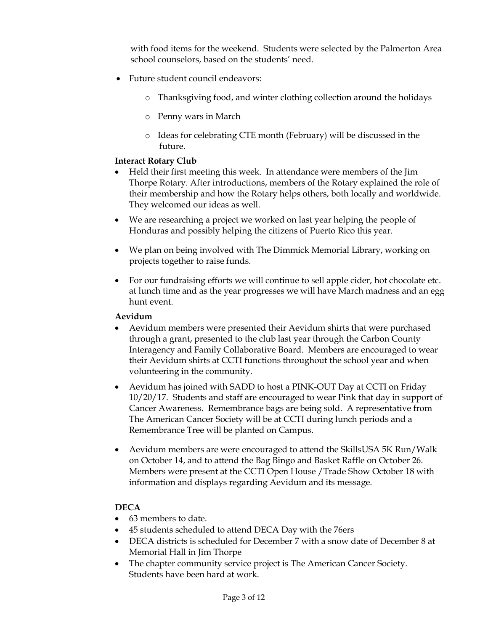with food items for the weekend. Students were selected by the Palmerton Area school counselors, based on the students' need.

- Future student council endeavors:
	- o Thanksgiving food, and winter clothing collection around the holidays
	- o Penny wars in March
	- o Ideas for celebrating CTE month (February) will be discussed in the future.

# **Interact Rotary Club**

- Held their first meeting this week. In attendance were members of the Jim Thorpe Rotary. After introductions, members of the Rotary explained the role of their membership and how the Rotary helps others, both locally and worldwide. They welcomed our ideas as well.
- We are researching a project we worked on last year helping the people of Honduras and possibly helping the citizens of Puerto Rico this year.
- We plan on being involved with The Dimmick Memorial Library, working on projects together to raise funds.
- For our fundraising efforts we will continue to sell apple cider, hot chocolate etc. at lunch time and as the year progresses we will have March madness and an egg hunt event.

# **Aevidum**

- Aevidum members were presented their Aevidum shirts that were purchased through a grant, presented to the club last year through the Carbon County Interagency and Family Collaborative Board. Members are encouraged to wear their Aevidum shirts at CCTI functions throughout the school year and when volunteering in the community.
- Aevidum has joined with SADD to host a PINK-OUT Day at CCTI on Friday 10/20/17. Students and staff are encouraged to wear Pink that day in support of Cancer Awareness. Remembrance bags are being sold. A representative from The American Cancer Society will be at CCTI during lunch periods and a Remembrance Tree will be planted on Campus.
- Aevidum members are were encouraged to attend the SkillsUSA 5K Run/Walk on October 14, and to attend the Bag Bingo and Basket Raffle on October 26. Members were present at the CCTI Open House /Trade Show October 18 with information and displays regarding Aevidum and its message.

# **DECA**

- 63 members to date.
- 45 students scheduled to attend DECA Day with the 76ers
- DECA districts is scheduled for December 7 with a snow date of December 8 at Memorial Hall in Jim Thorpe
- The chapter community service project is The American Cancer Society. Students have been hard at work.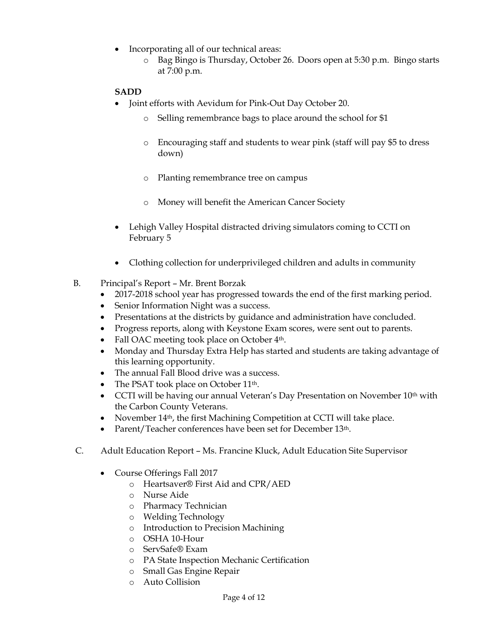- Incorporating all of our technical areas:
	- o Bag Bingo is Thursday, October 26. Doors open at 5:30 p.m. Bingo starts at 7:00 p.m.

# **SADD**

- Joint efforts with Aevidum for Pink-Out Day October 20.
	- o Selling remembrance bags to place around the school for \$1
	- o Encouraging staff and students to wear pink (staff will pay \$5 to dress down)
	- o Planting remembrance tree on campus
	- o Money will benefit the American Cancer Society
- Lehigh Valley Hospital distracted driving simulators coming to CCTI on February 5
- Clothing collection for underprivileged children and adults in community
- B. Principal's Report Mr. Brent Borzak
	- 2017-2018 school year has progressed towards the end of the first marking period.
	- Senior Information Night was a success.
	- Presentations at the districts by guidance and administration have concluded.
	- Progress reports, along with Keystone Exam scores, were sent out to parents.
	- Fall OAC meeting took place on October 4<sup>th</sup>.
	- Monday and Thursday Extra Help has started and students are taking advantage of this learning opportunity.
	- The annual Fall Blood drive was a success.
	- The PSAT took place on October 11<sup>th</sup>.
	- CCTI will be having our annual Veteran's Day Presentation on November 10<sup>th</sup> with the Carbon County Veterans.
	- November 14<sup>th</sup>, the first Machining Competition at CCTI will take place.
	- Parent/Teacher conferences have been set for December 13th.
- C. Adult Education Report Ms. Francine Kluck, Adult Education Site Supervisor
	- Course Offerings Fall 2017
		- o Heartsaver® First Aid and CPR/AED
		- o Nurse Aide
		- o Pharmacy Technician
		- o Welding Technology
		- o Introduction to Precision Machining
		- o OSHA 10-Hour
		- o ServSafe® Exam
		- o PA State Inspection Mechanic Certification
		- o Small Gas Engine Repair
		- o Auto Collision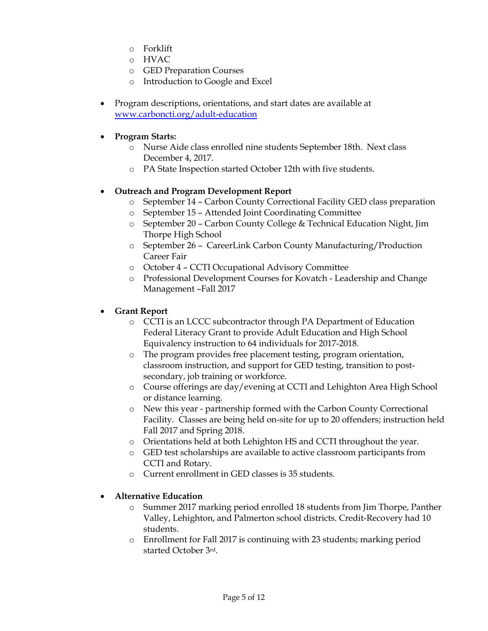- o Forklift
- o HVAC
- o GED Preparation Courses
- o Introduction to Google and Excel
- Program descriptions, orientations, and start dates are available at [www.carboncti.org/adult-education](http://www.carboncti.org/adult-education)
- **Program Starts:**
	- o Nurse Aide class enrolled nine students September 18th. Next class December 4, 2017.
	- o PA State Inspection started October 12th with five students.

# **Outreach and Program Development Report**

- o September 14 Carbon County Correctional Facility GED class preparation
- o September 15 Attended Joint Coordinating Committee
- o September 20 Carbon County College & Technical Education Night, Jim Thorpe High School
- o September 26 CareerLink Carbon County Manufacturing/Production Career Fair
- o October 4 CCTI Occupational Advisory Committee
- o Professional Development Courses for Kovatch Leadership and Change Management –Fall 2017

# **Grant Report**

- o CCTI is an LCCC subcontractor through PA Department of Education Federal Literacy Grant to provide Adult Education and High School Equivalency instruction to 64 individuals for 2017-2018.
- o The program provides free placement testing, program orientation, classroom instruction, and support for GED testing, transition to postsecondary, job training or workforce.
- o Course offerings are day/evening at CCTI and Lehighton Area High School or distance learning.
- o New this year partnership formed with the Carbon County Correctional Facility. Classes are being held on-site for up to 20 offenders; instruction held Fall 2017 and Spring 2018.
- o Orientations held at both Lehighton HS and CCTI throughout the year.
- o GED test scholarships are available to active classroom participants from CCTI and Rotary.
- o Current enrollment in GED classes is 35 students.

# **Alternative Education**

- o Summer 2017 marking period enrolled 18 students from Jim Thorpe, Panther Valley, Lehighton, and Palmerton school districts. Credit-Recovery had 10 students.
- o Enrollment for Fall 2017 is continuing with 23 students; marking period started October 3rd.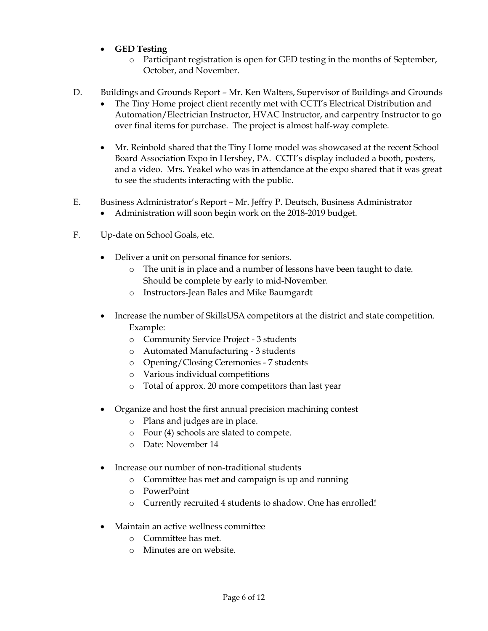- **GED Testing**
	- o Participant registration is open for GED testing in the months of September, October, and November.
- D. Buildings and Grounds Report Mr. Ken Walters, Supervisor of Buildings and Grounds
	- The Tiny Home project client recently met with CCTI's Electrical Distribution and Automation/Electrician Instructor, HVAC Instructor, and carpentry Instructor to go over final items for purchase. The project is almost half-way complete.
	- Mr. Reinbold shared that the Tiny Home model was showcased at the recent School Board Association Expo in Hershey, PA. CCTI's display included a booth, posters, and a video. Mrs. Yeakel who was in attendance at the expo shared that it was great to see the students interacting with the public.
- E. Business Administrator's Report Mr. Jeffry P. Deutsch, Business Administrator
	- Administration will soon begin work on the 2018-2019 budget.
- F. Up-date on School Goals, etc.
	- Deliver a unit on personal finance for seniors.
		- o The unit is in place and a number of lessons have been taught to date. Should be complete by early to mid-November.
		- o Instructors-Jean Bales and Mike Baumgardt
	- Increase the number of SkillsUSA competitors at the district and state competition. Example:
		- o Community Service Project 3 students
		- o Automated Manufacturing 3 students
		- o Opening/Closing Ceremonies 7 students
		- o Various individual competitions
		- o Total of approx. 20 more competitors than last year
	- Organize and host the first annual precision machining contest
		- o Plans and judges are in place.
		- o Four (4) schools are slated to compete.
		- o Date: November 14
	- Increase our number of non-traditional students
		- o Committee has met and campaign is up and running
		- o PowerPoint
		- o Currently recruited 4 students to shadow. One has enrolled!
	- Maintain an active wellness committee
		- o Committee has met.
		- o Minutes are on website.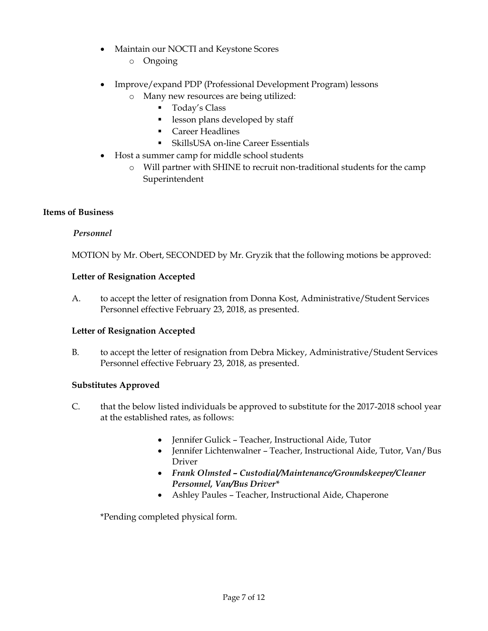- Maintain our NOCTI and Keystone Scores
	- o Ongoing
- Improve/expand PDP (Professional Development Program) lessons
	- o Many new resources are being utilized:
		- **Today's Class**
		- **lesson plans developed by staff**
		- **Career Headlines**
		- SkillsUSA on-line Career Essentials
- Host a summer camp for middle school students
	- o Will partner with SHINE to recruit non-traditional students for the camp Superintendent

# **Items of Business**

# *Personnel*

MOTION by Mr. Obert, SECONDED by Mr. Gryzik that the following motions be approved:

# **Letter of Resignation Accepted**

A. to accept the letter of resignation from Donna Kost, Administrative/Student Services Personnel effective February 23, 2018, as presented.

# **Letter of Resignation Accepted**

B. to accept the letter of resignation from Debra Mickey, Administrative/Student Services Personnel effective February 23, 2018, as presented.

# **Substitutes Approved**

- C. that the below listed individuals be approved to substitute for the 2017-2018 school year at the established rates, as follows:
	- Jennifer Gulick Teacher, Instructional Aide, Tutor
	- Jennifer Lichtenwalner Teacher, Instructional Aide, Tutor, Van/Bus Driver
	- *Frank Olmsted – Custodial/Maintenance/Groundskeeper/Cleaner Personnel, Van/Bus Driver\**
	- Ashley Paules Teacher, Instructional Aide, Chaperone

\*Pending completed physical form.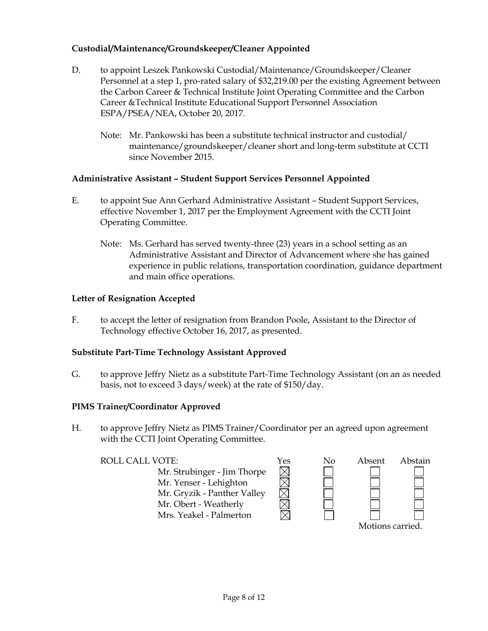# **Custodial/Maintenance/Groundskeeper/Cleaner Appointed**

- D. to appoint Leszek Pankowski Custodial/Maintenance/Groundskeeper/Cleaner Personnel at a step 1, pro-rated salary of \$32,219.00 per the existing Agreement between the Carbon Career & Technical Institute Joint Operating Committee and the Carbon Career &Technical Institute Educational Support Personnel Association ESPA/PSEA/NEA, October 20, 2017.
	- Note: Mr. Pankowski has been a substitute technical instructor and custodial/ maintenance/groundskeeper/cleaner short and long-term substitute at CCTI since November 2015.

# **Administrative Assistant – Student Support Services Personnel Appointed**

- E. to appoint Sue Ann Gerhard Administrative Assistant Student Support Services, effective November 1, 2017 per the Employment Agreement with the CCTI Joint Operating Committee.
	- Note: Ms. Gerhard has served twenty-three (23) years in a school setting as an Administrative Assistant and Director of Advancement where she has gained experience in public relations, transportation coordination, guidance department and main office operations.

### **Letter of Resignation Accepted**

F. to accept the letter of resignation from Brandon Poole, Assistant to the Director of Technology effective October 16, 2017, as presented.

# **Substitute Part-Time Technology Assistant Approved**

G. to approve Jeffry Nietz as a substitute Part-Time Technology Assistant (on an as needed basis, not to exceed 3 days/week) at the rate of \$150/day.

#### **PIMS Trainer/Coordinator Approved**

H. to approve Jeffry Nietz as PIMS Trainer/Coordinator per an agreed upon agreement with the CCTI Joint Operating Committee.

Mr. Strubinger - Jim Thorpe Mr. Yenser - Lehighton Mr. Gryzik - Panther Valley Mr. Obert - Weatherly Mrs. Yeakel - Palmerton

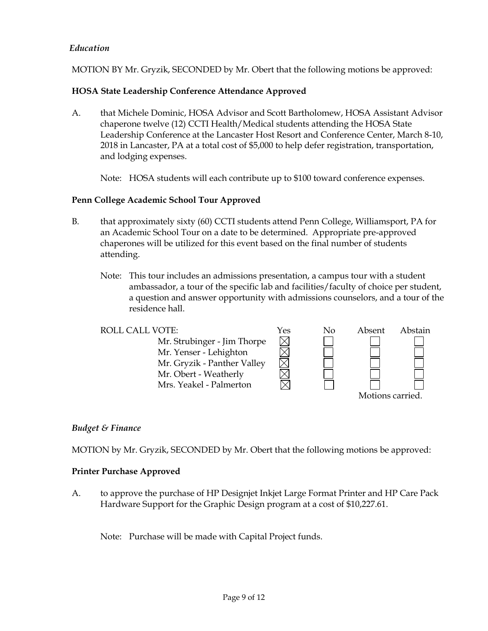# *Education*

MOTION BY Mr. Gryzik, SECONDED by Mr. Obert that the following motions be approved:

# **HOSA State Leadership Conference Attendance Approved**

A. that Michele Dominic, HOSA Advisor and Scott Bartholomew, HOSA Assistant Advisor chaperone twelve (12) CCTI Health/Medical students attending the HOSA State Leadership Conference at the Lancaster Host Resort and Conference Center, March 8-10, 2018 in Lancaster, PA at a total cost of \$5,000 to help defer registration, transportation, and lodging expenses.

Note: HOSA students will each contribute up to \$100 toward conference expenses.

# **Penn College Academic School Tour Approved**

- B. that approximately sixty (60) CCTI students attend Penn College, Williamsport, PA for an Academic School Tour on a date to be determined. Appropriate pre-approved chaperones will be utilized for this event based on the final number of students attending.
	- Note: This tour includes an admissions presentation, a campus tour with a student ambassador, a tour of the specific lab and facilities/faculty of choice per student, a question and answer opportunity with admissions counselors, and a tour of the residence hall.

| ROLL CALL VOTE:             | Yes | Nο | Absent           | Abstain |
|-----------------------------|-----|----|------------------|---------|
| Mr. Strubinger - Jim Thorpe |     |    |                  |         |
| Mr. Yenser - Lehighton      |     |    |                  |         |
| Mr. Gryzik - Panther Valley |     |    |                  |         |
| Mr. Obert - Weatherly       |     |    |                  |         |
| Mrs. Yeakel - Palmerton     |     |    |                  |         |
|                             |     |    | Motions carried. |         |

# *Budget & Finance*

MOTION by Mr. Gryzik, SECONDED by Mr. Obert that the following motions be approved:

#### **Printer Purchase Approved**

A. to approve the purchase of HP Designjet Inkjet Large Format Printer and HP Care Pack Hardware Support for the Graphic Design program at a cost of \$10,227.61.

Note: Purchase will be made with Capital Project funds.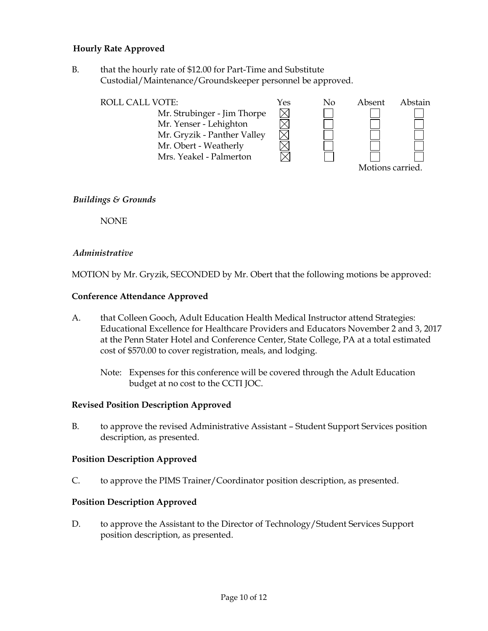# **Hourly Rate Approved**

B. that the hourly rate of \$12.00 for Part-Time and Substitute Custodial/Maintenance/Groundskeeper personnel be approved.

| <b>ROLL CALL VOTE:</b>      | Yes | No | Absent          | Abstain |
|-----------------------------|-----|----|-----------------|---------|
| Mr. Strubinger - Jim Thorpe |     |    |                 |         |
| Mr. Yenser - Lehighton      |     |    |                 |         |
| Mr. Gryzik - Panther Valley |     |    |                 |         |
| Mr. Obert - Weatherly       |     |    |                 |         |
| Mrs. Yeakel - Palmerton     |     |    |                 |         |
|                             |     |    | Motions carried |         |

# *Buildings & Grounds*

NONE

# *Administrative*

MOTION by Mr. Gryzik, SECONDED by Mr. Obert that the following motions be approved:

### **Conference Attendance Approved**

- A. that Colleen Gooch, Adult Education Health Medical Instructor attend Strategies: Educational Excellence for Healthcare Providers and Educators November 2 and 3, 2017 at the Penn Stater Hotel and Conference Center, State College, PA at a total estimated cost of \$570.00 to cover registration, meals, and lodging.
	- Note: Expenses for this conference will be covered through the Adult Education budget at no cost to the CCTI JOC.

#### **Revised Position Description Approved**

B. to approve the revised Administrative Assistant – Student Support Services position description, as presented.

#### **Position Description Approved**

C. to approve the PIMS Trainer/Coordinator position description, as presented.

#### **Position Description Approved**

D. to approve the Assistant to the Director of Technology/Student Services Support position description, as presented.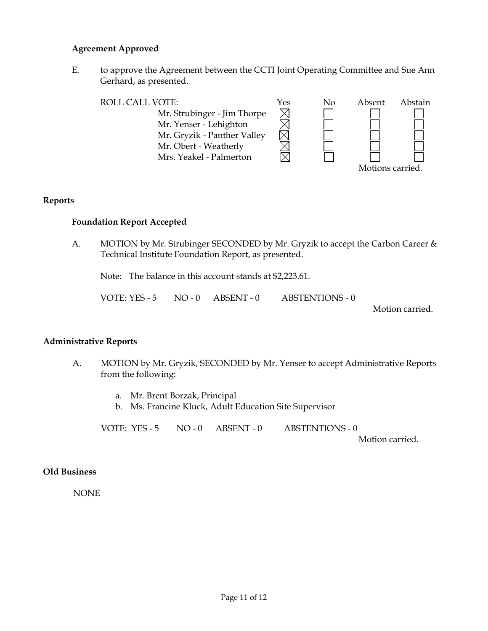### **Agreement Approved**

E. to approve the Agreement between the CCTI Joint Operating Committee and Sue Ann Gerhard, as presented.

| <b>ROLL CALL VOTE:</b>      | Yes | No | Absent           | Abstain |
|-----------------------------|-----|----|------------------|---------|
| Mr. Strubinger - Jim Thorpe |     |    |                  |         |
| Mr. Yenser - Lehighton      |     |    |                  |         |
| Mr. Gryzik - Panther Valley |     |    |                  |         |
| Mr. Obert - Weatherly       |     |    |                  |         |
| Mrs. Yeakel - Palmerton     |     |    |                  |         |
|                             |     |    | Motions carried. |         |

#### **Reports**

### **Foundation Report Accepted**

A. MOTION by Mr. Strubinger SECONDED by Mr. Gryzik to accept the Carbon Career & Technical Institute Foundation Report, as presented.

Note: The balance in this account stands at \$2,223.61.

VOTE: YES - 5 NO - 0 ABSENT - 0 ABSTENTIONS - 0

Motion carried.

#### **Administrative Reports**

- A. MOTION by Mr. Gryzik, SECONDED by Mr. Yenser to accept Administrative Reports from the following:
	- a. Mr. Brent Borzak, Principal
	- b. Ms. Francine Kluck, Adult Education Site Supervisor

VOTE: YES - 5 NO - 0 ABSENT - 0 ABSTENTIONS - 0

Motion carried.

#### **Old Business**

NONE